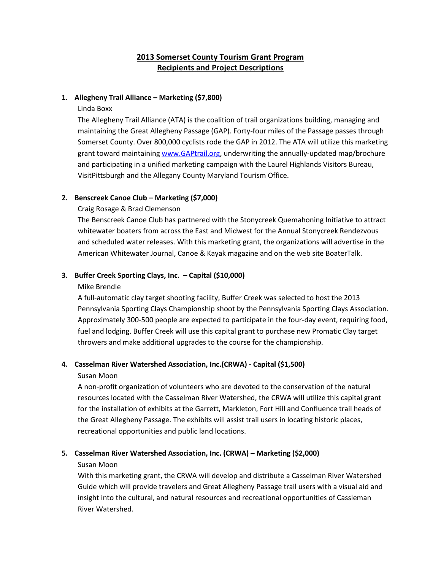# **2013 Somerset County Tourism Grant Program Recipients and Project Descriptions**

## **1. Allegheny Trail Alliance – Marketing (\$7,800)**

## Linda Boxx

The Allegheny Trail Alliance (ATA) is the coalition of trail organizations building, managing and maintaining the Great Allegheny Passage (GAP). Forty-four miles of the Passage passes through Somerset County. Over 800,000 cyclists rode the GAP in 2012. The ATA will utilize this marketing grant toward maintaining [www.GAPtrail.org,](http://www.gaptrail.org/) underwriting the annually-updated map/brochure and participating in a unified marketing campaign with the Laurel Highlands Visitors Bureau, VisitPittsburgh and the Allegany County Maryland Tourism Office.

## **2. Benscreek Canoe Club – Marketing (\$7,000)**

## Craig Rosage & Brad Clemenson

The Benscreek Canoe Club has partnered with the Stonycreek Quemahoning Initiative to attract whitewater boaters from across the East and Midwest for the Annual Stonycreek Rendezvous and scheduled water releases. With this marketing grant, the organizations will advertise in the American Whitewater Journal, Canoe & Kayak magazine and on the web site BoaterTalk.

## **3. Buffer Creek Sporting Clays, Inc. – Capital (\$10,000)**

## Mike Brendle

A full-automatic clay target shooting facility, Buffer Creek was selected to host the 2013 Pennsylvania Sporting Clays Championship shoot by the Pennsylvania Sporting Clays Association. Approximately 300-500 people are expected to participate in the four-day event, requiring food, fuel and lodging. Buffer Creek will use this capital grant to purchase new Promatic Clay target throwers and make additional upgrades to the course for the championship.

## **4. Casselman River Watershed Association, Inc.(CRWA) - Capital (\$1,500)**

## Susan Moon

A non-profit organization of volunteers who are devoted to the conservation of the natural resources located with the Casselman River Watershed, the CRWA will utilize this capital grant for the installation of exhibits at the Garrett, Markleton, Fort Hill and Confluence trail heads of the Great Allegheny Passage. The exhibits will assist trail users in locating historic places, recreational opportunities and public land locations.

## **5. Casselman River Watershed Association, Inc. (CRWA) – Marketing (\$2,000)**

## Susan Moon

With this marketing grant, the CRWA will develop and distribute a Casselman River Watershed Guide which will provide travelers and Great Allegheny Passage trail users with a visual aid and insight into the cultural, and natural resources and recreational opportunities of Cassleman River Watershed.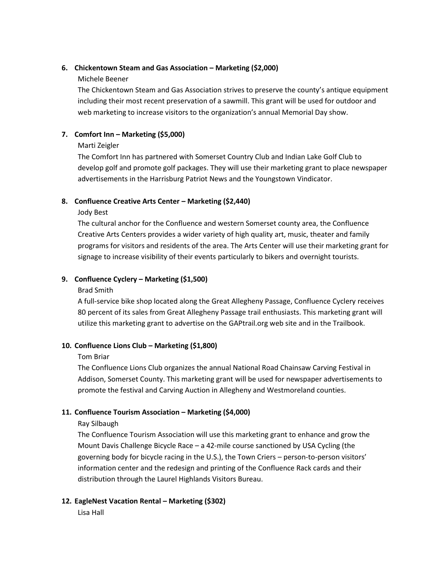## **6. Chickentown Steam and Gas Association – Marketing (\$2,000)**

## Michele Beener

The Chickentown Steam and Gas Association strives to preserve the county's antique equipment including their most recent preservation of a sawmill. This grant will be used for outdoor and web marketing to increase visitors to the organization's annual Memorial Day show.

# **7. Comfort Inn – Marketing (\$5,000)**

## Marti Zeigler

The Comfort Inn has partnered with Somerset Country Club and Indian Lake Golf Club to develop golf and promote golf packages. They will use their marketing grant to place newspaper advertisements in the Harrisburg Patriot News and the Youngstown Vindicator.

# **8. Confluence Creative Arts Center – Marketing (\$2,440)**

Jody Best

The cultural anchor for the Confluence and western Somerset county area, the Confluence Creative Arts Centers provides a wider variety of high quality art, music, theater and family programs for visitors and residents of the area. The Arts Center will use their marketing grant for signage to increase visibility of their events particularly to bikers and overnight tourists.

## **9. Confluence Cyclery – Marketing (\$1,500)**

## Brad Smith

A full-service bike shop located along the Great Allegheny Passage, Confluence Cyclery receives 80 percent of its sales from Great Allegheny Passage trail enthusiasts. This marketing grant will utilize this marketing grant to advertise on the GAPtrail.org web site and in the Trailbook.

# **10. Confluence Lions Club – Marketing (\$1,800)**

## Tom Briar

The Confluence Lions Club organizes the annual National Road Chainsaw Carving Festival in Addison, Somerset County. This marketing grant will be used for newspaper advertisements to promote the festival and Carving Auction in Allegheny and Westmoreland counties.

# **11. Confluence Tourism Association – Marketing (\$4,000)**

## Ray Silbaugh

The Confluence Tourism Association will use this marketing grant to enhance and grow the Mount Davis Challenge Bicycle Race – a 42-mile course sanctioned by USA Cycling (the governing body for bicycle racing in the U.S.), the Town Criers – person-to-person visitors' information center and the redesign and printing of the Confluence Rack cards and their distribution through the Laurel Highlands Visitors Bureau.

# **12. EagleNest Vacation Rental – Marketing (\$302)**

Lisa Hall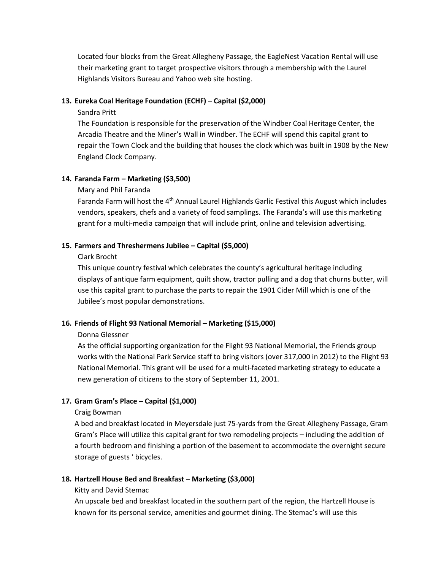Located four blocks from the Great Allegheny Passage, the EagleNest Vacation Rental will use their marketing grant to target prospective visitors through a membership with the Laurel Highlands Visitors Bureau and Yahoo web site hosting.

#### **13. Eureka Coal Heritage Foundation (ECHF) – Capital (\$2,000)**

#### Sandra Pritt

The Foundation is responsible for the preservation of the Windber Coal Heritage Center, the Arcadia Theatre and the Miner's Wall in Windber. The ECHF will spend this capital grant to repair the Town Clock and the building that houses the clock which was built in 1908 by the New England Clock Company.

#### **14. Faranda Farm – Marketing (\$3,500)**

#### Mary and Phil Faranda

Faranda Farm will host the 4<sup>th</sup> Annual Laurel Highlands Garlic Festival this August which includes vendors, speakers, chefs and a variety of food samplings. The Faranda's will use this marketing grant for a multi-media campaign that will include print, online and television advertising.

#### **15. Farmers and Threshermens Jubilee – Capital (\$5,000)**

#### Clark Brocht

This unique country festival which celebrates the county's agricultural heritage including displays of antique farm equipment, quilt show, tractor pulling and a dog that churns butter, will use this capital grant to purchase the parts to repair the 1901 Cider Mill which is one of the Jubilee's most popular demonstrations.

## **16. Friends of Flight 93 National Memorial – Marketing (\$15,000)**

#### Donna Glessner

As the official supporting organization for the Flight 93 National Memorial, the Friends group works with the National Park Service staff to bring visitors (over 317,000 in 2012) to the Flight 93 National Memorial. This grant will be used for a multi-faceted marketing strategy to educate a new generation of citizens to the story of September 11, 2001.

## **17. Gram Gram's Place – Capital (\$1,000)**

#### Craig Bowman

A bed and breakfast located in Meyersdale just 75-yards from the Great Allegheny Passage, Gram Gram's Place will utilize this capital grant for two remodeling projects – including the addition of a fourth bedroom and finishing a portion of the basement to accommodate the overnight secure storage of guests ' bicycles.

## **18. Hartzell House Bed and Breakfast – Marketing (\$3,000)**

#### Kitty and David Stemac

An upscale bed and breakfast located in the southern part of the region, the Hartzell House is known for its personal service, amenities and gourmet dining. The Stemac's will use this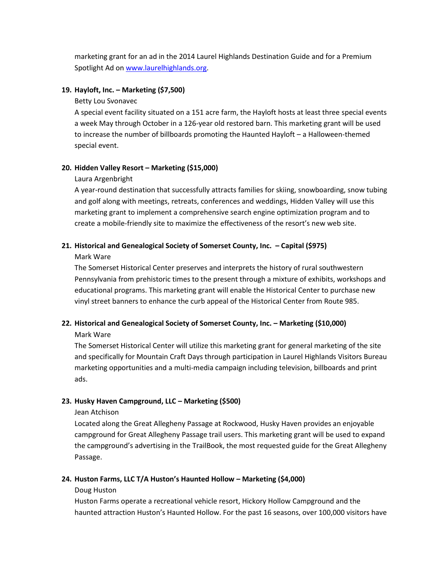marketing grant for an ad in the 2014 Laurel Highlands Destination Guide and for a Premium Spotlight Ad o[n www.laurelhighlands.org.](http://www.laurelhighlands.org/)

#### **19. Hayloft, Inc. – Marketing (\$7,500)**

Betty Lou Svonavec

A special event facility situated on a 151 acre farm, the Hayloft hosts at least three special events a week May through October in a 126-year old restored barn. This marketing grant will be used to increase the number of billboards promoting the Haunted Hayloft – a Halloween-themed special event.

## **20. Hidden Valley Resort – Marketing (\$15,000)**

#### Laura Argenbright

A year-round destination that successfully attracts families for skiing, snowboarding, snow tubing and golf along with meetings, retreats, conferences and weddings, Hidden Valley will use this marketing grant to implement a comprehensive search engine optimization program and to create a mobile-friendly site to maximize the effectiveness of the resort's new web site.

# **21. Historical and Genealogical Society of Somerset County, Inc. – Capital (\$975)**

Mark Ware

The Somerset Historical Center preserves and interprets the history of rural southwestern Pennsylvania from prehistoric times to the present through a mixture of exhibits, workshops and educational programs. This marketing grant will enable the Historical Center to purchase new vinyl street banners to enhance the curb appeal of the Historical Center from Route 985.

## **22. Historical and Genealogical Society of Somerset County, Inc. – Marketing (\$10,000)**

Mark Ware

The Somerset Historical Center will utilize this marketing grant for general marketing of the site and specifically for Mountain Craft Days through participation in Laurel Highlands Visitors Bureau marketing opportunities and a multi-media campaign including television, billboards and print ads.

# **23. Husky Haven Campground, LLC – Marketing (\$500)**

Jean Atchison

Located along the Great Allegheny Passage at Rockwood, Husky Haven provides an enjoyable campground for Great Allegheny Passage trail users. This marketing grant will be used to expand the campground's advertising in the TrailBook, the most requested guide for the Great Allegheny Passage.

## **24. Huston Farms, LLC T/A Huston's Haunted Hollow – Marketing (\$4,000)**

#### Doug Huston

Huston Farms operate a recreational vehicle resort, Hickory Hollow Campground and the haunted attraction Huston's Haunted Hollow. For the past 16 seasons, over 100,000 visitors have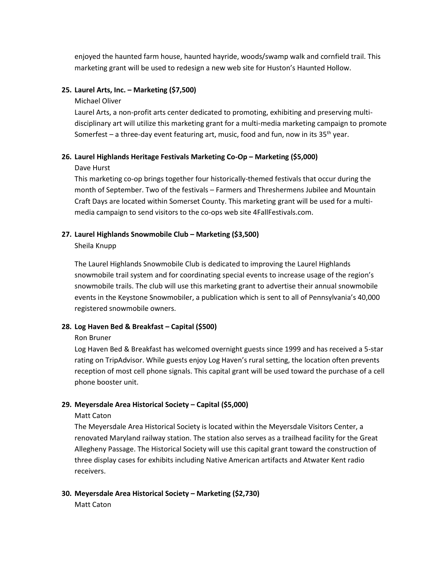enjoyed the haunted farm house, haunted hayride, woods/swamp walk and cornfield trail. This marketing grant will be used to redesign a new web site for Huston's Haunted Hollow.

#### **25. Laurel Arts, Inc. – Marketing (\$7,500)**

Michael Oliver

Laurel Arts, a non-profit arts center dedicated to promoting, exhibiting and preserving multidisciplinary art will utilize this marketing grant for a multi-media marketing campaign to promote Somerfest – a three-day event featuring art, music, food and fun, now in its  $35<sup>th</sup>$  year.

## **26. Laurel Highlands Heritage Festivals Marketing Co-Op – Marketing (\$5,000)**

Dave Hurst

This marketing co-op brings together four historically-themed festivals that occur during the month of September. Two of the festivals – Farmers and Threshermens Jubilee and Mountain Craft Days are located within Somerset County. This marketing grant will be used for a multimedia campaign to send visitors to the co-ops web site 4FallFestivals.com.

#### **27. Laurel Highlands Snowmobile Club – Marketing (\$3,500)**

Sheila Knupp

The Laurel Highlands Snowmobile Club is dedicated to improving the Laurel Highlands snowmobile trail system and for coordinating special events to increase usage of the region's snowmobile trails. The club will use this marketing grant to advertise their annual snowmobile events in the Keystone Snowmobiler, a publication which is sent to all of Pennsylvania's 40,000 registered snowmobile owners.

## **28. Log Haven Bed & Breakfast – Capital (\$500)**

Ron Bruner

Log Haven Bed & Breakfast has welcomed overnight guests since 1999 and has received a 5-star rating on TripAdvisor. While guests enjoy Log Haven's rural setting, the location often prevents reception of most cell phone signals. This capital grant will be used toward the purchase of a cell phone booster unit.

## **29. Meyersdale Area Historical Society – Capital (\$5,000)**

Matt Caton

The Meyersdale Area Historical Society is located within the Meyersdale Visitors Center, a renovated Maryland railway station. The station also serves as a trailhead facility for the Great Allegheny Passage. The Historical Society will use this capital grant toward the construction of three display cases for exhibits including Native American artifacts and Atwater Kent radio receivers.

## **30. Meyersdale Area Historical Society – Marketing (\$2,730)**

Matt Caton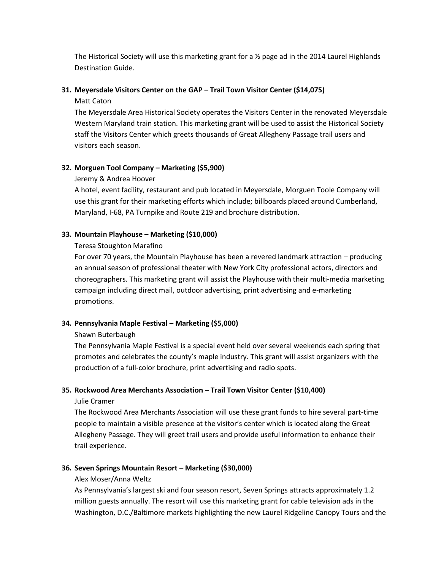The Historical Society will use this marketing grant for a ½ page ad in the 2014 Laurel Highlands Destination Guide.

## **31. Meyersdale Visitors Center on the GAP – Trail Town Visitor Center (\$14,075)**

Matt Caton

The Meyersdale Area Historical Society operates the Visitors Center in the renovated Meyersdale Western Maryland train station. This marketing grant will be used to assist the Historical Society staff the Visitors Center which greets thousands of Great Allegheny Passage trail users and visitors each season.

## **32. Morguen Tool Company – Marketing (\$5,900)**

## Jeremy & Andrea Hoover

A hotel, event facility, restaurant and pub located in Meyersdale, Morguen Toole Company will use this grant for their marketing efforts which include; billboards placed around Cumberland, Maryland, I-68, PA Turnpike and Route 219 and brochure distribution.

## **33. Mountain Playhouse – Marketing (\$10,000)**

Teresa Stoughton Marafino

For over 70 years, the Mountain Playhouse has been a revered landmark attraction – producing an annual season of professional theater with New York City professional actors, directors and choreographers. This marketing grant will assist the Playhouse with their multi-media marketing campaign including direct mail, outdoor advertising, print advertising and e-marketing promotions.

# **34. Pennsylvania Maple Festival – Marketing (\$5,000)**

## Shawn Buterbaugh

The Pennsylvania Maple Festival is a special event held over several weekends each spring that promotes and celebrates the county's maple industry. This grant will assist organizers with the production of a full-color brochure, print advertising and radio spots.

# **35. Rockwood Area Merchants Association – Trail Town Visitor Center (\$10,400)**

Julie Cramer

The Rockwood Area Merchants Association will use these grant funds to hire several part-time people to maintain a visible presence at the visitor's center which is located along the Great Allegheny Passage. They will greet trail users and provide useful information to enhance their trail experience.

# **36. Seven Springs Mountain Resort – Marketing (\$30,000)**

## Alex Moser/Anna Weltz

As Pennsylvania's largest ski and four season resort, Seven Springs attracts approximately 1.2 million guests annually. The resort will use this marketing grant for cable television ads in the Washington, D.C./Baltimore markets highlighting the new Laurel Ridgeline Canopy Tours and the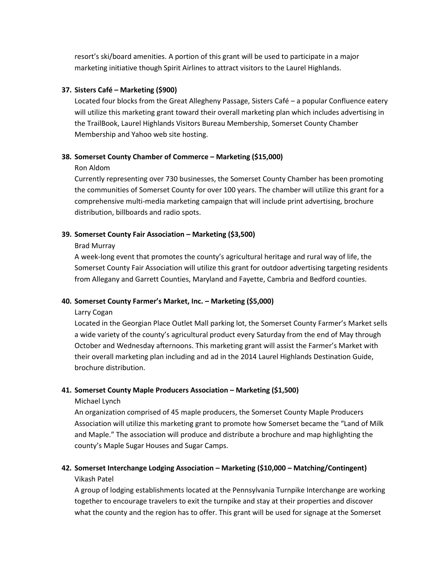resort's ski/board amenities. A portion of this grant will be used to participate in a major marketing initiative though Spirit Airlines to attract visitors to the Laurel Highlands.

#### **37. Sisters Café – Marketing (\$900)**

Located four blocks from the Great Allegheny Passage, Sisters Café – a popular Confluence eatery will utilize this marketing grant toward their overall marketing plan which includes advertising in the TrailBook, Laurel Highlands Visitors Bureau Membership, Somerset County Chamber Membership and Yahoo web site hosting.

#### **38. Somerset County Chamber of Commerce – Marketing (\$15,000)**

#### Ron Aldom

Currently representing over 730 businesses, the Somerset County Chamber has been promoting the communities of Somerset County for over 100 years. The chamber will utilize this grant for a comprehensive multi-media marketing campaign that will include print advertising, brochure distribution, billboards and radio spots.

## **39. Somerset County Fair Association – Marketing (\$3,500)**

Brad Murray

A week-long event that promotes the county's agricultural heritage and rural way of life, the Somerset County Fair Association will utilize this grant for outdoor advertising targeting residents from Allegany and Garrett Counties, Maryland and Fayette, Cambria and Bedford counties.

## **40. Somerset County Farmer's Market, Inc. – Marketing (\$5,000)**

#### Larry Cogan

Located in the Georgian Place Outlet Mall parking lot, the Somerset County Farmer's Market sells a wide variety of the county's agricultural product every Saturday from the end of May through October and Wednesday afternoons. This marketing grant will assist the Farmer's Market with their overall marketing plan including and ad in the 2014 Laurel Highlands Destination Guide, brochure distribution.

## **41. Somerset County Maple Producers Association – Marketing (\$1,500)**

#### Michael Lynch

An organization comprised of 45 maple producers, the Somerset County Maple Producers Association will utilize this marketing grant to promote how Somerset became the "Land of Milk and Maple." The association will produce and distribute a brochure and map highlighting the county's Maple Sugar Houses and Sugar Camps.

# **42. Somerset Interchange Lodging Association – Marketing (\$10,000 – Matching/Contingent)** Vikash Patel

A group of lodging establishments located at the Pennsylvania Turnpike Interchange are working together to encourage travelers to exit the turnpike and stay at their properties and discover what the county and the region has to offer. This grant will be used for signage at the Somerset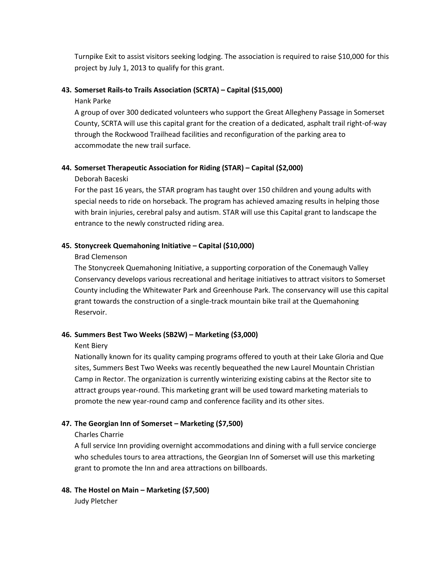Turnpike Exit to assist visitors seeking lodging. The association is required to raise \$10,000 for this project by July 1, 2013 to qualify for this grant.

#### **43. Somerset Rails-to Trails Association (SCRTA) – Capital (\$15,000)**

#### Hank Parke

A group of over 300 dedicated volunteers who support the Great Allegheny Passage in Somerset County, SCRTA will use this capital grant for the creation of a dedicated, asphalt trail right-of-way through the Rockwood Trailhead facilities and reconfiguration of the parking area to accommodate the new trail surface.

#### **44. Somerset Therapeutic Association for Riding (STAR) – Capital (\$2,000)**

#### Deborah Baceski

For the past 16 years, the STAR program has taught over 150 children and young adults with special needs to ride on horseback. The program has achieved amazing results in helping those with brain injuries, cerebral palsy and autism. STAR will use this Capital grant to landscape the entrance to the newly constructed riding area.

#### **45. Stonycreek Quemahoning Initiative – Capital (\$10,000)**

#### Brad Clemenson

The Stonycreek Quemahoning Initiative, a supporting corporation of the Conemaugh Valley Conservancy develops various recreational and heritage initiatives to attract visitors to Somerset County including the Whitewater Park and Greenhouse Park. The conservancy will use this capital grant towards the construction of a single-track mountain bike trail at the Quemahoning Reservoir.

## **46. Summers Best Two Weeks (SB2W) – Marketing (\$3,000)**

#### Kent Biery

Nationally known for its quality camping programs offered to youth at their Lake Gloria and Que sites, Summers Best Two Weeks was recently bequeathed the new Laurel Mountain Christian Camp in Rector. The organization is currently winterizing existing cabins at the Rector site to attract groups year-round. This marketing grant will be used toward marketing materials to promote the new year-round camp and conference facility and its other sites.

## **47. The Georgian Inn of Somerset – Marketing (\$7,500)**

## Charles Charrie

A full service Inn providing overnight accommodations and dining with a full service concierge who schedules tours to area attractions, the Georgian Inn of Somerset will use this marketing grant to promote the Inn and area attractions on billboards.

## **48. The Hostel on Main – Marketing (\$7,500)**

Judy Pletcher